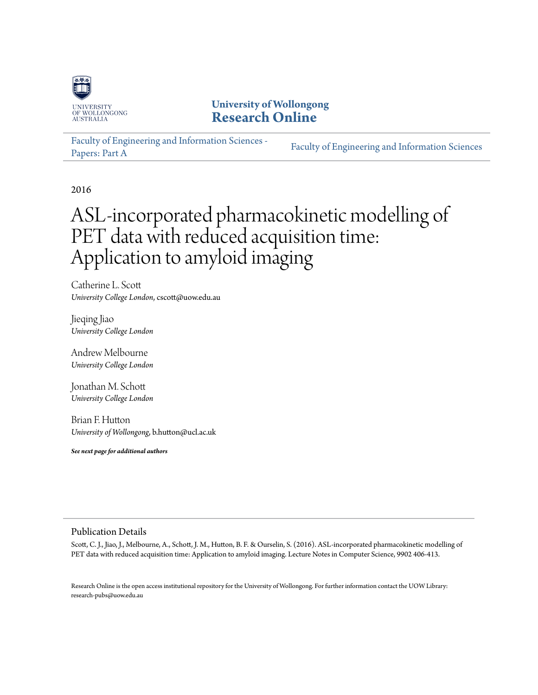

## **University of Wollongong [Research Online](http://ro.uow.edu.au)**

[Faculty of Engineering and Information Sciences -](http://ro.uow.edu.au/eispapers) [Papers: Part A](http://ro.uow.edu.au/eispapers) [Faculty of Engineering and Information Sciences](http://ro.uow.edu.au/eis)

2016

# ASL-incorporated pharmacokinetic modelling of PET data with reduced acquisition time: Application to amyloid imaging

Catherine L. Scott *University College London*, cscott@uow.edu.au

Jieqing Jiao *University College London*

Andrew Melbourne *University College London*

Jonathan M. Schott *University College London*

Brian F. Hutton *University of Wollongong*, b.hutton@ucl.ac.uk

*See next page for additional authors*

#### Publication Details

Scott, C. J., Jiao, J., Melbourne, A., Schott, J. M., Hutton, B. F. & Ourselin, S. (2016). ASL-incorporated pharmacokinetic modelling of PET data with reduced acquisition time: Application to amyloid imaging. Lecture Notes in Computer Science, 9902 406-413.

Research Online is the open access institutional repository for the University of Wollongong. For further information contact the UOW Library: research-pubs@uow.edu.au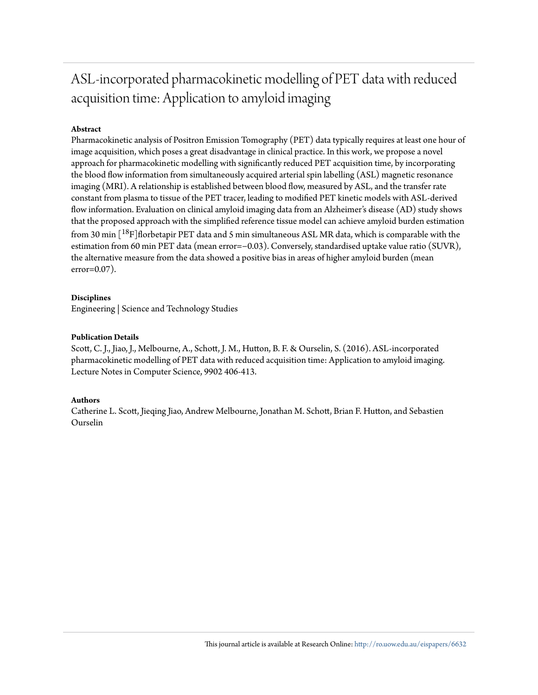## ASL-incorporated pharmacokinetic modelling of PET data with reduced acquisition time: Application to amyloid imaging

#### **Abstract**

Pharmacokinetic analysis of Positron Emission Tomography (PET) data typically requires at least one hour of image acquisition, which poses a great disadvantage in clinical practice. In this work, we propose a novel approach for pharmacokinetic modelling with significantly reduced PET acquisition time, by incorporating the blood flow information from simultaneously acquired arterial spin labelling (ASL) magnetic resonance imaging (MRI). A relationship is established between blood flow, measured by ASL, and the transfer rate constant from plasma to tissue of the PET tracer, leading to modified PET kinetic models with ASL-derived flow information. Evaluation on clinical amyloid imaging data from an Alzheimer's disease (AD) study shows that the proposed approach with the simplified reference tissue model can achieve amyloid burden estimation from 30 min  $\left[^{18}F\right]$ florbetapir PET data and 5 min simultaneous ASL MR data, which is comparable with the estimation from 60 min PET data (mean error=−0.03). Conversely, standardised uptake value ratio (SUVR), the alternative measure from the data showed a positive bias in areas of higher amyloid burden (mean error=0.07).

#### **Disciplines**

Engineering | Science and Technology Studies

#### **Publication Details**

Scott, C. J., Jiao, J., Melbourne, A., Schott, J. M., Hutton, B. F. & Ourselin, S. (2016). ASL-incorporated pharmacokinetic modelling of PET data with reduced acquisition time: Application to amyloid imaging. Lecture Notes in Computer Science, 9902 406-413.

#### **Authors**

Catherine L. Scott, Jieqing Jiao, Andrew Melbourne, Jonathan M. Schott, Brian F. Hutton, and Sebastien Ourselin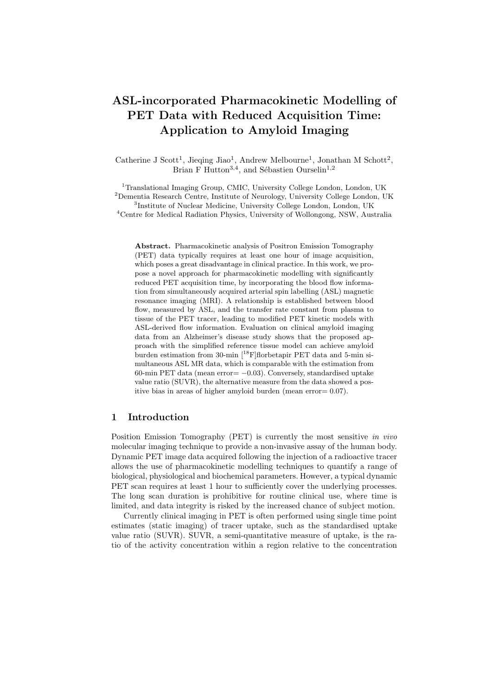### ASL-incorporated Pharmacokinetic Modelling of PET Data with Reduced Acquisition Time: Application to Amyloid Imaging

Catherine J Scott<sup>1</sup>, Jieqing Jiao<sup>1</sup>, Andrew Melbourne<sup>1</sup>, Jonathan M Schott<sup>2</sup>, Brian F Hutton<sup>3,4</sup>, and Sébastien Ourselin<sup>1,2</sup>

<sup>1</sup>Translational Imaging Group, CMIC, University College London, London, UK Dementia Research Centre, Institute of Neurology, University College London, UK Institute of Nuclear Medicine, University College London, London, UK Centre for Medical Radiation Physics, University of Wollongong, NSW, Australia

Abstract. Pharmacokinetic analysis of Positron Emission Tomography (PET) data typically requires at least one hour of image acquisition, which poses a great disadvantage in clinical practice. In this work, we propose a novel approach for pharmacokinetic modelling with significantly reduced PET acquisition time, by incorporating the blood flow information from simultaneously acquired arterial spin labelling (ASL) magnetic resonance imaging (MRI). A relationship is established between blood flow, measured by ASL, and the transfer rate constant from plasma to tissue of the PET tracer, leading to modified PET kinetic models with ASL-derived flow information. Evaluation on clinical amyloid imaging data from an Alzheimer's disease study shows that the proposed approach with the simplified reference tissue model can achieve amyloid burden estimation from 30-min  $[$ <sup>18</sup>F $]$ florbetapir PET data and 5-min simultaneous ASL MR data, which is comparable with the estimation from 60-min PET data (mean error $= -0.03$ ). Conversely, standardised uptake value ratio (SUVR), the alternative measure from the data showed a positive bias in areas of higher amyloid burden (mean error= 0.07).

#### 1 Introduction

Position Emission Tomography (PET) is currently the most sensitive in vivo molecular imaging technique to provide a non-invasive assay of the human body. Dynamic PET image data acquired following the injection of a radioactive tracer allows the use of pharmacokinetic modelling techniques to quantify a range of biological, physiological and biochemical parameters. However, a typical dynamic PET scan requires at least 1 hour to sufficiently cover the underlying processes. The long scan duration is prohibitive for routine clinical use, where time is limited, and data integrity is risked by the increased chance of subject motion.

Currently clinical imaging in PET is often performed using single time point estimates (static imaging) of tracer uptake, such as the standardised uptake value ratio (SUVR). SUVR, a semi-quantitative measure of uptake, is the ratio of the activity concentration within a region relative to the concentration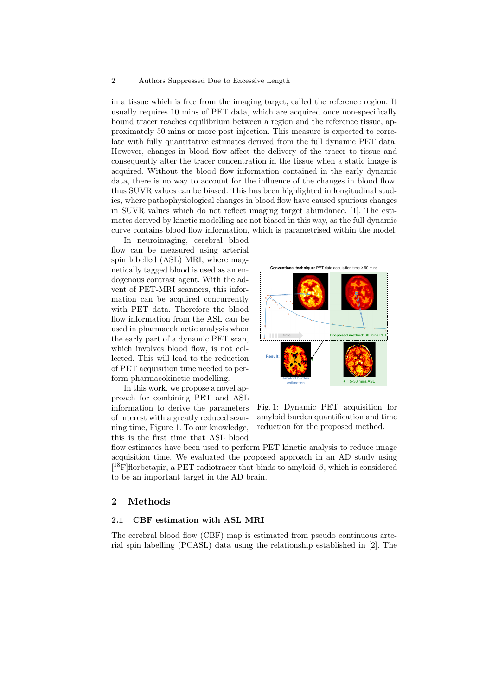#### 2 Authors Suppressed Due to Excessive Length

in a tissue which is free from the imaging target, called the reference region. It usually requires 10 mins of PET data, which are acquired once non-specifically bound tracer reaches equilibrium between a region and the reference tissue, approximately 50 mins or more post injection. This measure is expected to correlate with fully quantitative estimates derived from the full dynamic PET data. However, changes in blood flow affect the delivery of the tracer to tissue and consequently alter the tracer concentration in the tissue when a static image is acquired. Without the blood flow information contained in the early dynamic data, there is no way to account for the influence of the changes in blood flow, thus SUVR values can be biased. This has been highlighted in longitudinal studies, where pathophysiological changes in blood flow have caused spurious changes in SUVR values which do not reflect imaging target abundance. [1]. The estimates derived by kinetic modelling are not biased in this way, as the full dynamic curve contains blood flow information, which is parametrised within the model.

In neuroimaging, cerebral blood flow can be measured using arterial spin labelled (ASL) MRI, where magnetically tagged blood is used as an endogenous contrast agent. With the advent of PET-MRI scanners, this information can be acquired concurrently with PET data. Therefore the blood flow information from the ASL can be used in pharmacokinetic analysis when the early part of a dynamic PET scan, which involves blood flow, is not collected. This will lead to the reduction of PET acquisition time needed to perform pharmacokinetic modelling.

In this work, we propose a novel approach for combining PET and ASL information to derive the parameters of interest with a greatly reduced scanning time, Figure 1. To our knowledge, this is the first time that ASL blood



Fig. 1: Dynamic PET acquisition for amyloid burden quantification and time reduction for the proposed method.

flow estimates have been used to perform PET kinetic analysis to reduce image acquisition time. We evaluated the proposed approach in an AD study using [ ${}^{18}F$ ]florbetapir, a PET radiotracer that binds to amyloid- $\beta$ , which is considered to be an important target in the AD brain.

#### 2 Methods

#### 2.1 CBF estimation with ASL MRI

The cerebral blood flow (CBF) map is estimated from pseudo continuous arterial spin labelling (PCASL) data using the relationship established in [2]. The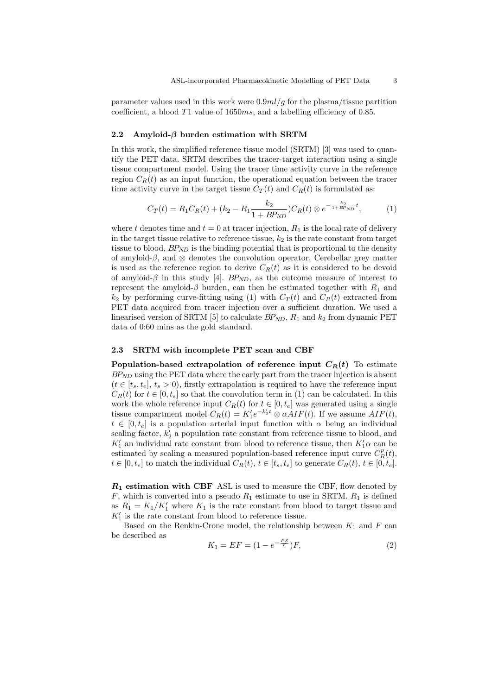parameter values used in this work were  $0.9ml/g$  for the plasma/tissue partition coefficient, a blood  $T1$  value of  $1650ms$ , and a labelling efficiency of 0.85.

#### 2.2 Amyloid- $\beta$  burden estimation with SRTM

In this work, the simplified reference tissue model (SRTM) [3] was used to quantify the PET data. SRTM describes the tracer-target interaction using a single tissue compartment model. Using the tracer time activity curve in the reference region  $C_R(t)$  as an input function, the operational equation between the tracer time activity curve in the target tissue  $C_T(t)$  and  $C_R(t)$  is formulated as:

$$
C_T(t) = R_1 C_R(t) + (k_2 - R_1 \frac{k_2}{1 + BP_{ND}}) C_R(t) \otimes e^{-\frac{k_2}{1 + BP_{ND}}t}, \tag{1}
$$

where t denotes time and  $t = 0$  at tracer injection,  $R_1$  is the local rate of delivery in the target tissue relative to reference tissue,  $k_2$  is the rate constant from target tissue to blood,  $BP_{ND}$  is the binding potential that is proportional to the density of amyloid- $\beta$ , and  $\otimes$  denotes the convolution operator. Cerebellar grey matter is used as the reference region to derive  $C_R(t)$  as it is considered to be devoid of amyloid- $\beta$  in this study [4]. BP<sub>ND</sub>, as the outcome measure of interest to represent the amyloid- $\beta$  burden, can then be estimated together with  $R_1$  and  $k_2$  by performing curve-fitting using (1) with  $C_T(t)$  and  $C_R(t)$  extracted from PET data acquired from tracer injection over a sufficient duration. We used a linearised version of SRTM [5] to calculate  $BP_{ND}$ ,  $R_1$  and  $k_2$  from dynamic PET data of 0:60 mins as the gold standard.

#### 2.3 SRTM with incomplete PET scan and CBF

Population-based extrapolation of reference input  $C_R(t)$  To estimate  $BP<sub>ND</sub>$  using the PET data where the early part from the tracer injection is absent  $(t \in [t_s, t_e], t_s > 0)$ , firstly extrapolation is required to have the reference input  $C_R(t)$  for  $t \in [0, t_s]$  so that the convolution term in (1) can be calculated. In this work the whole reference input  $C_R(t)$  for  $t \in [0, t_e]$  was generated using a single tissue compartment model  $C_R(t) = K'_1 e^{-k'_2 t} \otimes \alpha AIF(t)$ . If we assume  $AIF(t)$ ,  $t \in [0, t_e]$  is a population arterial input function with  $\alpha$  being an individual scaling factor,  $k_2$  a population rate constant from reference tissue to blood, and  $K_1'$  an individual rate constant from blood to reference tissue, then  $K_1' \alpha$  can be estimated by scaling a measured population-based reference input curve  $C_R^p(t)$ ,  $t \in [0, t_e]$  to match the individual  $C_R(t)$ ,  $t \in [t_s, t_e]$  to generate  $C_R(t)$ ,  $t \in [0, t_e]$ .

 $R_1$  estimation with CBF ASL is used to measure the CBF, flow denoted by  $F$ , which is converted into a pseudo  $R_1$  estimate to use in SRTM.  $R_1$  is defined as  $R_1 = K_1/K'_1$  where  $K_1$  is the rate constant from blood to target tissue and  $K_1'$  is the rate constant from blood to reference tissue.

Based on the Renkin-Crone model, the relationship between  $K_1$  and  $F$  can be described as

$$
K_1 = EF = (1 - e^{-\frac{PS}{F}})F,\t\t(2)
$$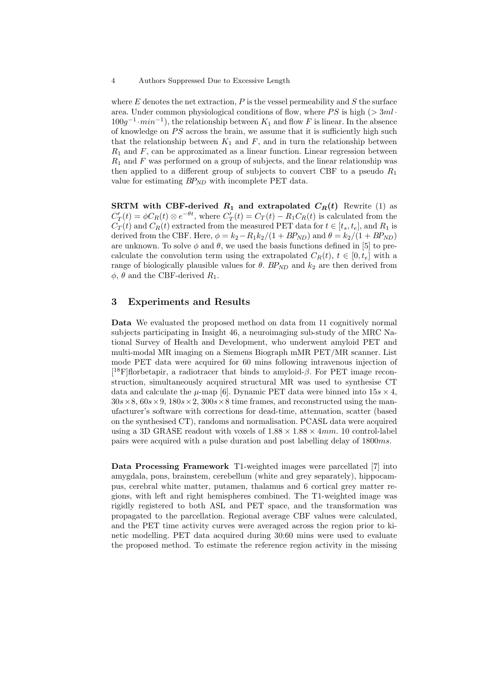#### 4 Authors Suppressed Due to Excessive Length

where  $E$  denotes the net extraction,  $P$  is the vessel permeability and  $S$  the surface area. Under common physiological conditions of flow, where  $PS$  is high ( $> 3ml \cdot$  $100g^{-1} \cdot min^{-1}$ , the relationship between  $K_1$  and flow F is linear. In the absence of knowledge on  $PS$  across the brain, we assume that it is sufficiently high such that the relationship between  $K_1$  and  $F$ , and in turn the relationship between  $R_1$  and  $F$ , can be approximated as a linear function. Linear regression between  $R_1$  and F was performed on a group of subjects, and the linear relationship was then applied to a different group of subjects to convert CBF to a pseudo  $R_1$ value for estimating  $BP_{ND}$  with incomplete PET data.

SRTM with CBF-derived  $R_1$  and extrapolated  $C_R(t)$  Rewrite (1) as  $C_T'(t) = \phi C_R(t) \otimes e^{-\theta t}$ , where  $C_T'(t) = C_T(t) - R_1 C_R(t)$  is calculated from the  $C_T(t)$  and  $C_R(t)$  extracted from the measured PET data for  $t \in [t_s, t_e]$ , and  $R_1$  is derived from the CBF. Here,  $\phi = k_2 - R_1k_2/(1 + BP_{ND})$  and  $\theta = k_2/(1 + BP_{ND})$ are unknown. To solve  $\phi$  and  $\theta$ , we used the basis functions defined in [5] to precalculate the convolution term using the extrapolated  $C_R(t)$ ,  $t \in [0, t_e]$  with a range of biologically plausible values for  $\theta$ . BP<sub>ND</sub> and  $k_2$  are then derived from  $\phi$ ,  $\theta$  and the CBF-derived  $R_1$ .

#### 3 Experiments and Results

Data We evaluated the proposed method on data from 11 cognitively normal subjects participating in Insight 46, a neuroimaging sub-study of the MRC National Survey of Health and Development, who underwent amyloid PET and multi-modal MR imaging on a Siemens Biograph mMR PET/MR scanner. List mode PET data were acquired for 60 mins following intravenous injection of [ ${}^{18}$ F]florbetapir, a radiotracer that binds to amyloid- $\beta$ . For PET image reconstruction, simultaneously acquired structural MR was used to synthesise CT data and calculate the  $\mu$ -map [6]. Dynamic PET data were binned into  $15s \times 4$ ,  $30s \times 8, 60s \times 9, 180s \times 2, 300s \times 8$  time frames, and reconstructed using the manufacturer's software with corrections for dead-time, attenuation, scatter (based on the synthesised CT), randoms and normalisation. PCASL data were acquired using a 3D GRASE readout with voxels of  $1.88 \times 1.88 \times 4mm$ . 10 control-label pairs were acquired with a pulse duration and post labelling delay of 1800ms.

Data Processing Framework T1-weighted images were parcellated [7] into amygdala, pons, brainstem, cerebellum (white and grey separately), hippocampus, cerebral white matter, putamen, thalamus and 6 cortical grey matter regions, with left and right hemispheres combined. The T1-weighted image was rigidly registered to both ASL and PET space, and the transformation was propagated to the parcellation. Regional average CBF values were calculated, and the PET time activity curves were averaged across the region prior to kinetic modelling. PET data acquired during 30:60 mins were used to evaluate the proposed method. To estimate the reference region activity in the missing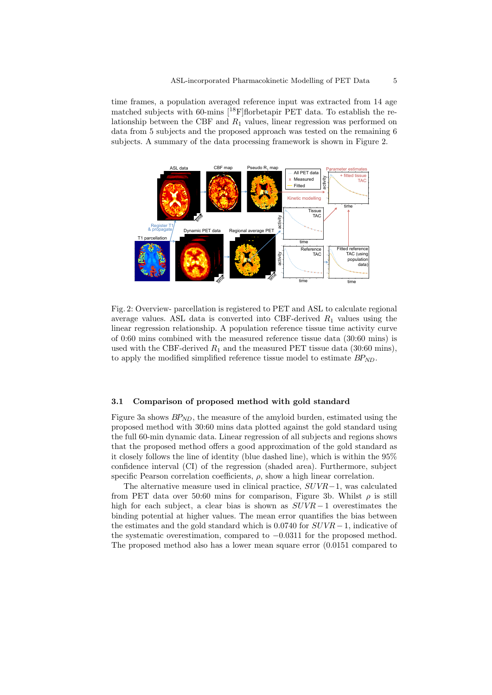time frames, a population averaged reference input was extracted from 14 age matched subjects with 60-mins  $[$ <sup>18</sup>F $]$ florbetapir PET data. To establish the relationship between the CBF and  $R_1$  values, linear regression was performed on data from 5 subjects and the proposed approach was tested on the remaining 6 subjects. A summary of the data processing framework is shown in Figure 2.



Fig. 2: Overview- parcellation is registered to PET and ASL to calculate regional average values. ASL data is converted into CBF-derived  $R_1$  values using the linear regression relationship. A population reference tissue time activity curve of 0:60 mins combined with the measured reference tissue data (30:60 mins) is used with the CBF-derived  $R_1$  and the measured PET tissue data (30:60 mins), to apply the modified simplified reference tissue model to estimate  $BP_{ND}$ .

#### 3.1 Comparison of proposed method with gold standard

Figure 3a shows  $BP_{ND}$ , the measure of the amyloid burden, estimated using the proposed method with 30:60 mins data plotted against the gold standard using the full 60-min dynamic data. Linear regression of all subjects and regions shows that the proposed method offers a good approximation of the gold standard as it closely follows the line of identity (blue dashed line), which is within the 95% confidence interval (CI) of the regression (shaded area). Furthermore, subject specific Pearson correlation coefficients,  $\rho$ , show a high linear correlation.

The alternative measure used in clinical practice,  $SUVR-1$ , was calculated from PET data over 50:60 mins for comparison, Figure 3b. Whilst  $\rho$  is still high for each subject, a clear bias is shown as  $SUVR-1$  overestimates the binding potential at higher values. The mean error quantifies the bias between the estimates and the gold standard which is  $0.0740$  for  $SUVR-1$ , indicative of the systematic overestimation, compared to −0.0311 for the proposed method. The proposed method also has a lower mean square error (0.0151 compared to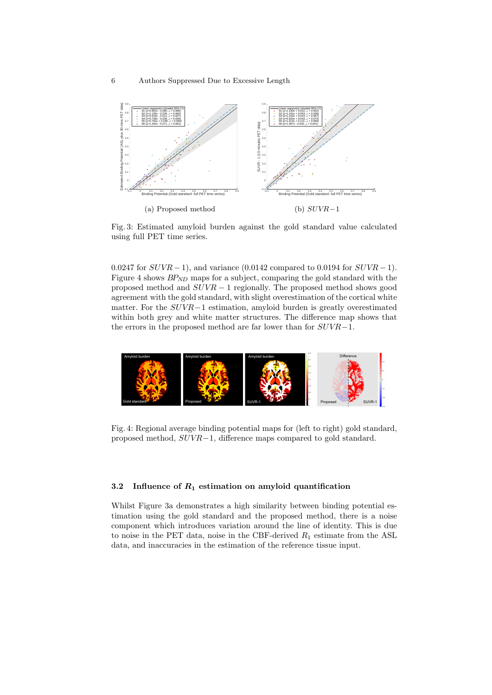

Fig. 3: Estimated amyloid burden against the gold standard value calculated using full PET time series.

0.0247 for  $SUVR-1$ , and variance (0.0142 compared to 0.0194 for  $SUVR-1$ ). Figure 4 shows  $BP_{ND}$  maps for a subject, comparing the gold standard with the proposed method and  $SUVR - 1$  regionally. The proposed method shows good agreement with the gold standard, with slight overestimation of the cortical white matter. For the SUVR−1 estimation, amyloid burden is greatly overestimated within both grey and white matter structures. The difference map shows that the errors in the proposed method are far lower than for SUVR−1.



Fig. 4: Regional average binding potential maps for (left to right) gold standard, proposed method, SUVR−1, difference maps compared to gold standard.

#### 3.2 Influence of  $R_1$  estimation on amyloid quantification

Whilst Figure 3a demonstrates a high similarity between binding potential estimation using the gold standard and the proposed method, there is a noise component which introduces variation around the line of identity. This is due to noise in the PET data, noise in the CBF-derived  $R_1$  estimate from the ASL data, and inaccuracies in the estimation of the reference tissue input.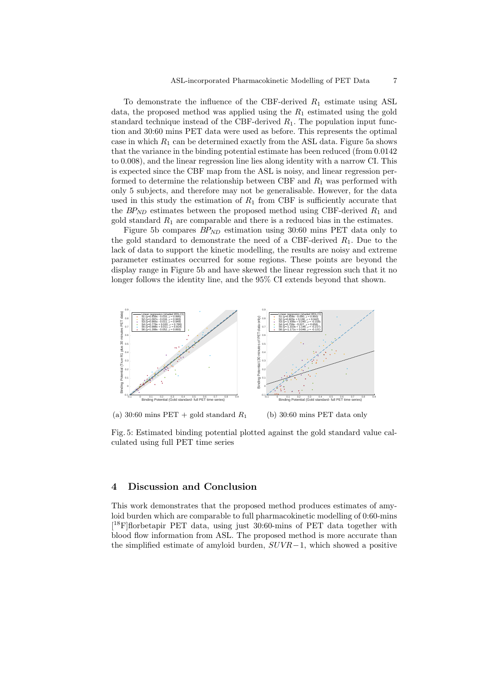To demonstrate the influence of the CBF-derived  $R_1$  estimate using ASL data, the proposed method was applied using the  $R_1$  estimated using the gold standard technique instead of the CBF-derived  $R_1$ . The population input function and 30:60 mins PET data were used as before. This represents the optimal case in which  $R_1$  can be determined exactly from the ASL data. Figure 5a shows that the variance in the binding potential estimate has been reduced (from 0.0142 to 0.008), and the linear regression line lies along identity with a narrow CI. This is expected since the CBF map from the ASL is noisy, and linear regression performed to determine the relationship between CBF and  $R_1$  was performed with only 5 subjects, and therefore may not be generalisable. However, for the data used in this study the estimation of  $R_1$  from CBF is sufficiently accurate that the  $BP_{ND}$  estimates between the proposed method using CBF-derived  $R_1$  and gold standard  $R_1$  are comparable and there is a reduced bias in the estimates.

Figure 5b compares  $BP_{ND}$  estimation using 30:60 mins PET data only to the gold standard to demonstrate the need of a CBF-derived  $R_1$ . Due to the lack of data to support the kinetic modelling, the results are noisy and extreme parameter estimates occurred for some regions. These points are beyond the display range in Figure 5b and have skewed the linear regression such that it no longer follows the identity line, and the 95% CI extends beyond that shown.



(a) 30:60 mins PET + gold standard  $R_1$ (b) 30:60 mins PET data only

Fig. 5: Estimated binding potential plotted against the gold standard value calculated using full PET time series

#### 4 Discussion and Conclusion

This work demonstrates that the proposed method produces estimates of amyloid burden which are comparable to full pharmacokinetic modelling of 0:60-mins [ <sup>18</sup>F]florbetapir PET data, using just 30:60-mins of PET data together with blood flow information from ASL. The proposed method is more accurate than the simplified estimate of amyloid burden,  $SUVR-1$ , which showed a positive